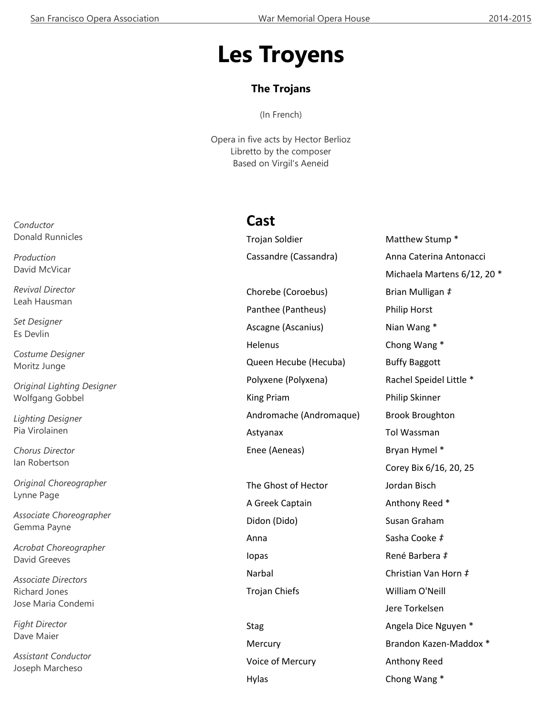# **Les Troyens**

### **The Trojans**

(In French)

Opera in five acts by Hector Berlioz Libretto by the composer Based on Virgil's Aeneid

## **Cast**

Trojan Soldier Matthew Stump \*

Chorebe (Coroebus) Brian Mulligan *‡* Panthee (Pantheus) Philip Horst Ascagne (Ascanius) Nian Wang \* Helenus Chong Wang \* Queen Hecube (Hecuba) Buffy Baggott Polyxene (Polyxena) Rachel Speidel Little \* King Priam **Philip Skinner** Andromache (Andromaque) Brook Broughton Astyanax Tol Wassman Enee (Aeneas) Bryan Hymel \*

The Ghost of Hector Jordan Bisch A Greek Captain Anthony Reed \* Didon (Dido) Susan Graham Anna Sasha Cooke *‡* Iopas René Barbera *‡* Trojan Chiefs William O'Neill

Hylas Chong Wang \*

Cassandre (Cassandra) Anna Caterina Antonacci Michaela Martens 6/12, 20 \* Corey Bix 6/16, 20, 25 Narbal Christian Van Horn *‡* Jere Torkelsen Stag **Angela Dice Nguyen \*** Angela Dice Nguyen \* Mercury **Brandon Kazen-Maddox** \* Voice of Mercury **Anthony Reed** 

*Conductor* Donald Runnicles

*Production* David McVicar

*Revival Director* Leah Hausman

*Set Designer* Es Devlin

*Costume Designer* Moritz Junge

*Original Lighting Designer* Wolfgang Gobbel

*Lighting Designer* Pia Virolainen

*Chorus Director* Ian Robertson

*Original Choreographer* Lynne Page

*Associate Choreographer* Gemma Payne

*Acrobat Choreographer* David Greeves

*Associate Directors* Richard Jones Jose Maria Condemi

*Fight Director* Dave Maier

*Assistant Conductor* Joseph Marcheso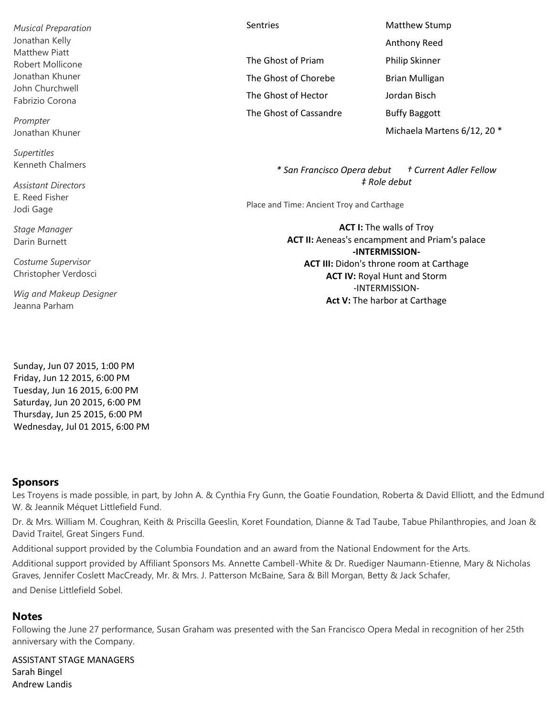*Musical Preparation* Jonathan Kelly Matthew Piatt Robert Mollicone Jonathan Khuner John Churchwell Fabrizio Corona

*Prompter* Jonathan Khuner

*Supertitles* Kenneth Chalmers

*Assistant Directors* E. Reed Fisher Jodi Gage

*Stage Manager* Darin Burnett

*Costume Supervisor* Christopher Verdosci

*Wig and Makeup Designer* Jeanna Parham

Sunday, Jun 07 2015, 1:00 PM Friday, Jun 12 2015, 6:00 PM Tuesday, Jun 16 2015, 6:00 PM Saturday, Jun 20 2015, 6:00 PM Thursday, Jun 25 2015, 6:00 PM Wednesday, Jul 01 2015, 6:00 PM

#### **Sponsors**

Les Troyens is made possible, in part, by John A. & Cynthia Fry Gunn, the Goatie Foundation, Roberta & David Elliott, and the Edmund W. & Jeannik Méquet Littlefield Fund.

Dr. & Mrs. William M. Coughran, Keith & Priscilla Geeslin, Koret Foundation, Dianne & Tad Taube, Tabue Philanthropies, and Joan & David Traitel, Great Singers Fund.

Additional support provided by the Columbia Foundation and an award from the National Endowment for the Arts.

Additional support provided by Affiliant Sponsors Ms. Annette Cambell-White & Dr. Ruediger Naumann-Etienne, Mary & Nicholas Graves, Jennifer Coslett MacCready, Mr. & Mrs. J. Patterson McBaine, Sara & Bill Morgan, Betty & Jack Schafer, and Denise Littlefield Sobel.

#### **Notes**

Following the June 27 performance, Susan Graham was presented with the San Francisco Opera Medal in recognition of her 25th anniversary with the Company.

ASSISTANT STAGE MANAGERS Sarah Bingel Andrew Landis

The Ghost of Priam Philip Skinner The Ghost of Chorebe Brian Mulligan The Ghost of Hector Jordan Bisch The Ghost of Cassandre Buffy Baggott

Sentries Matthew Stump Anthony Reed Michaela Martens 6/12, 20 \*

> *\* San Francisco Opera debut † Current Adler Fellow ‡ Role debut*

Place and Time: Ancient Troy and Carthage

**ACT I:** The walls of Troy **ACT II:** Aeneas's encampment and Priam's palace **-INTERMISSION-ACT III:** Didon's throne room at Carthage **ACT IV:** Royal Hunt and Storm -INTERMISSION-**Act V:** The harbor at Carthage